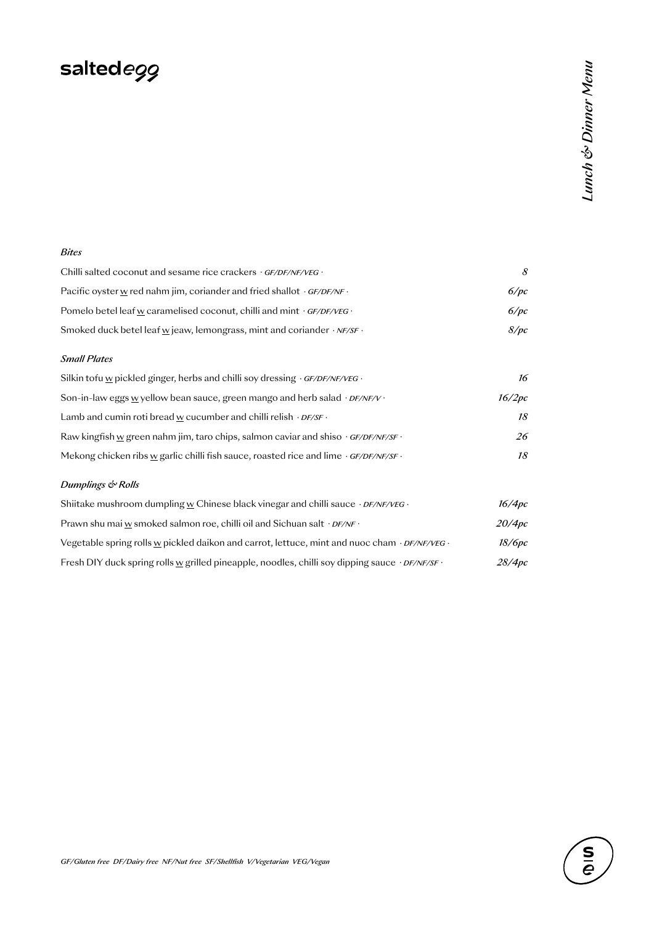# saltede99

#### *Bites*

| Chilli salted coconut and sesame rice crackers $\cdot$ GF/DF/NF/VEG $\cdot$                       |      |
|---------------------------------------------------------------------------------------------------|------|
| Pacific oyster w red nahm jim, coriander and fried shallot $GF/DF/NF$ .                           | 6/pc |
| Pomelo betel leaf w caramelised coconut, chilli and mint $\cdot$ GF/DF/VEG $\cdot$                | 6/pc |
| Smoked duck betel leaf $\underline{w}$ jeaw, lemongrass, mint and coriander $\cdot$ NF/SF $\cdot$ | 8/pc |

#### *Small Plates*

| Silkin tofu w pickled ginger, herbs and chilli soy dressing $\cdot$ GF/DF/NF/VEG $\cdot$          | 16     |
|---------------------------------------------------------------------------------------------------|--------|
| Son-in-law eggs w yellow bean sauce, green mango and herb salad $\cdot$ <i>DF/NF/V</i> $\cdot$    | 16/2pc |
| Lamb and cumin roti bread w cucumber and chilli relish $\cdot$ <i>DF/SF</i> $\cdot$               | 18     |
| Raw kingfish w green nahm jim, taro chips, salmon caviar and shiso $\cdot$ GF/DF/NF/SF $\cdot$    | 26     |
| Mekong chicken ribs w garlic chilli fish sauce, roasted rice and lime $\cdot$ GF/DF/NF/SF $\cdot$ | 18     |

#### *Dumplings & Rolls*

| Shiitake mushroom dumpling w Chinese black vinegar and chilli sauce $\cdot$ <i>DF/NF/VEG</i> $\cdot$               | 16/4 <sub>pc</sub> |
|--------------------------------------------------------------------------------------------------------------------|--------------------|
| Prawn shu mai w smoked salmon roe, chilli oil and Sichuan salt · <i>DF/NF</i> ·                                    | 20/4pc             |
| Vegetable spring rolls w pickled daikon and carrot, lettuce, mint and nuoc cham $\cdot$ <i>DF/NF/VEG</i> $\cdot$   | 18/6рс             |
| Fresh DIY duck spring rolls w grilled pineapple, noodles, chilli soy dipping sauce $\cdot$ <i>DF/NF/SF</i> $\cdot$ | 28/4pc             |